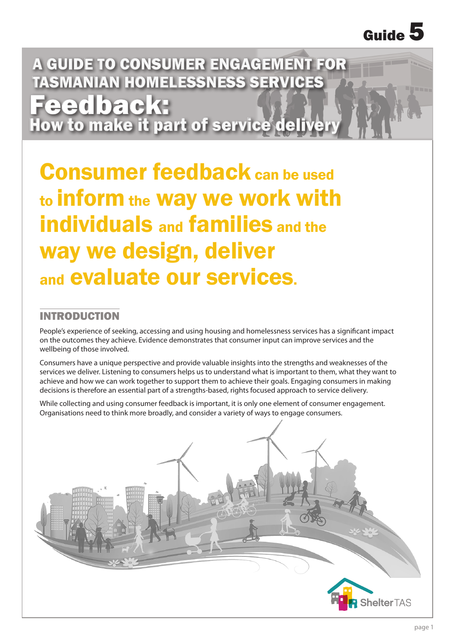A GUIDE TO CONSUMER ENGAGEMENT FOR TASMANIAN HOMELESSNESS SERVICES **Feedback:**<br>How to make it part of service deliver

Consumer feedback can be used to inform the way we work with individuals and families and the way we design, deliver and evaluate our services.

### INTRODUCTION

People's experience of seeking, accessing and using housing and homelessness services has a significant impact on the outcomes they achieve. Evidence demonstrates that consumer input can improve services and the wellbeing of those involved.

Consumers have a unique perspective and provide valuable insights into the strengths and weaknesses of the services we deliver. Listening to consumers helps us to understand what is important to them, what they want to achieve and how we can work together to support them to achieve their goals. Engaging consumers in making decisions is therefore an essential part of a strengths-based, rights focused approach to service delivery.

While collecting and using consumer feedback is important, it is only one element of consumer engagement. Organisations need to think more broadly, and consider a variety of ways to engage consumers.

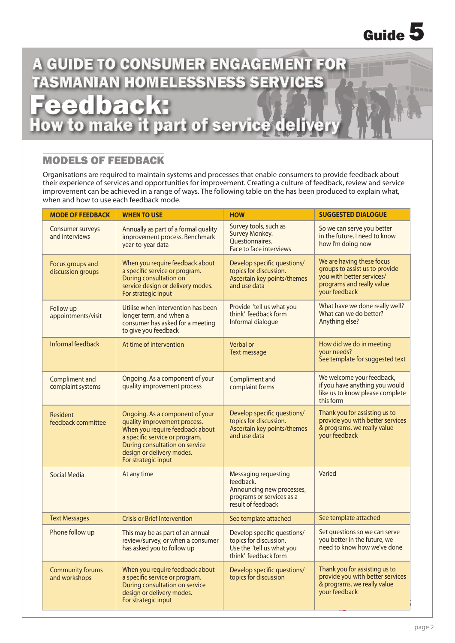## A GUIDE TO CONSUMER ENGAGEMENT FOR **ISMANIAN HOMELESSNESS SERVICES** Feed back:<br>ow to make it part of service delive

### MODELS OF FEEDBACK

Organisations are required to maintain systems and processes that enable consumers to provide feedback about their experience of services and opportunities for improvement. Creating a culture of feedback, review and service improvement can be achieved in a range of ways. The following table on the has been produced to explain what, when and how to use each feedback mode.

| <b>MODE OF FEEDBACK</b>                  | <b>WHEN TO USE</b>                                                                                                                                                                                                         | <b>HOW</b>                                                                                                        | <b>SUGGESTED DIALOGUE</b>                                                                                                              |  |
|------------------------------------------|----------------------------------------------------------------------------------------------------------------------------------------------------------------------------------------------------------------------------|-------------------------------------------------------------------------------------------------------------------|----------------------------------------------------------------------------------------------------------------------------------------|--|
| Consumer surveys<br>and interviews       | Annually as part of a formal quality<br>improvement process. Benchmark<br>year-to-year data                                                                                                                                | Survey tools, such as<br>Survey Monkey.<br>Questionnaires.<br>Face to face interviews                             | So we can serve you better<br>in the future, I need to know<br>how I'm doing now                                                       |  |
| Focus groups and<br>discussion groups    | When you require feedback about<br>a specific service or program.<br>During consultation on<br>service design or delivery modes.<br>For strategic input                                                                    | Develop specific questions/<br>topics for discussion.<br>Ascertain key points/themes<br>and use data              | We are having these focus<br>groups to assist us to provide<br>you with better services/<br>programs and really value<br>your feedback |  |
| Follow up<br>appointments/visit          | Utilise when intervention has been<br>longer term, and when a<br>consumer has asked for a meeting<br>to give you feedback                                                                                                  | Provide 'tell us what you<br>think' feedback form<br>Informal dialogue                                            | What have we done really well?<br>What can we do better?<br>Anything else?                                                             |  |
| Informal feedback                        | At time of intervention                                                                                                                                                                                                    | Verbal or<br>Text message                                                                                         | How did we do in meeting<br>your needs?<br>See template for suggested text                                                             |  |
| Compliment and<br>complaint systems      | Ongoing. As a component of your<br>quality improvement process                                                                                                                                                             | Compliment and<br>complaint forms                                                                                 | We welcome your feedback,<br>if you have anything you would<br>like us to know please complete<br>this form                            |  |
| Resident<br>feedback committee           | Ongoing. As a component of your<br>quality improvement process.<br>When you require feedback about<br>a specific service or program.<br>During consultation on service<br>design or delivery modes.<br>For strategic input | Develop specific questions/<br>topics for discussion.<br>Ascertain key points/themes<br>and use data              | Thank you for assisting us to<br>provide you with better services<br>& programs, we really value<br>your feedback                      |  |
| <b>Social Media</b>                      | At any time                                                                                                                                                                                                                | Messaging requesting<br>feedback.<br>Announcing new processes,<br>programs or services as a<br>result of feedback | Varied                                                                                                                                 |  |
| <b>Text Messages</b>                     | <b>Crisis or Brief Intervention</b>                                                                                                                                                                                        | See template attached                                                                                             | See template attached                                                                                                                  |  |
| Phone follow up                          | This may be as part of an annual<br>review/survey, or when a consumer<br>has asked you to follow up                                                                                                                        | Develop specific questions/<br>topics for discussion.<br>Use the 'tell us what you<br>think' feedback form        | Set questions so we can serve<br>you better in the future, we<br>need to know how we've done                                           |  |
| <b>Community forums</b><br>and workshops | When you require feedback about<br>a specific service or program.<br>During consultation on service<br>design or delivery modes.<br>For strategic input                                                                    | Develop specific questions/<br>topics for discussion                                                              | Thank you for assisting us to<br>provide you with better services<br>& programs, we really value<br>your feedback                      |  |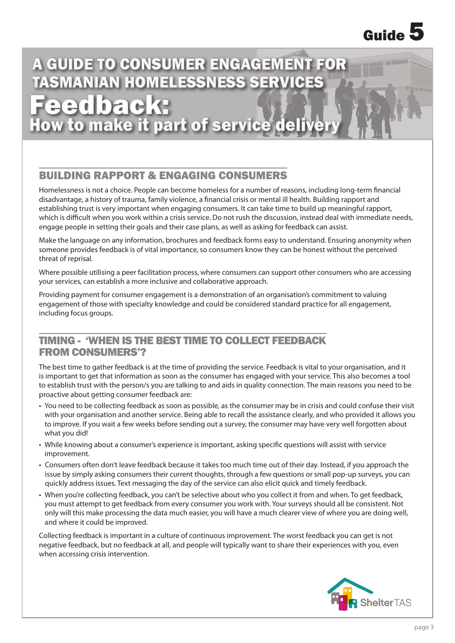## A GUIDE TO CONSUMER ENGAGEMENT FOR TASMANIAN HOMELESSNESS SERVICES

Feed back:<br>ow to make it part of service deliver

### BUILDING RAPPORT & ENGAGING CONSUMERS

Homelessness is not a choice. People can become homeless for a number of reasons, including long-term financial disadvantage, a history of trauma, family violence, a financial crisis or mental ill health. Building rapport and establishing trust is very important when engaging consumers. It can take time to build up meaningful rapport, which is difficult when you work within a crisis service. Do not rush the discussion, instead deal with immediate needs, engage people in setting their goals and their case plans, as well as asking for feedback can assist.

Make the language on any information, brochures and feedback forms easy to understand. Ensuring anonymity when someone provides feedback is of vital importance, so consumers know they can be honest without the perceived threat of reprisal.

Where possible utilising a peer facilitation process, where consumers can support other consumers who are accessing your services, can establish a more inclusive and collaborative approach.

Providing payment for consumer engagement is a demonstration of an organisation's commitment to valuing engagement of those with specialty knowledge and could be considered standard practice for all engagement, including focus groups.

### TIMING - 'WHEN IS THE BEST TIME TO COLLECT FEEDBACK FROM CONSUMERS'?

The best time to gather feedback is at the time of providing the service. Feedback is vital to your organisation, and it is important to get that information as soon as the consumer has engaged with your service. This also becomes a tool to establish trust with the person/s you are talking to and aids in quality connection. The main reasons you need to be proactive about getting consumer feedback are:

- You need to be collecting feedback as soon as possible, as the consumer may be in crisis and could confuse their visit with your organisation and another service. Being able to recall the assistance clearly, and who provided it allows you to improve. If you wait a few weeks before sending out a survey, the consumer may have very well forgotten about what you did!
- While knowing about a consumer's experience is important, asking specific questions will assist with service improvement.
- Consumers often don't leave feedback because it takes too much time out of their day. Instead, if you approach the issue by simply asking consumers their current thoughts, through a few questions or small pop-up surveys, you can quickly address issues. Text messaging the day of the service can also elicit quick and timely feedback.
- When you're collecting feedback, you can't be selective about who you collect it from and when. To get feedback, you must attempt to get feedback from every consumer you work with. Your surveys should all be consistent. Not only will this make processing the data much easier, you will have a much clearer view of where you are doing well, and where it could be improved.

Collecting feedback is important in a culture of continuous improvement. The worst feedback you can get is not negative feedback, but no feedback at all, and people will typically want to share their experiences with you, even when accessing crisis intervention.

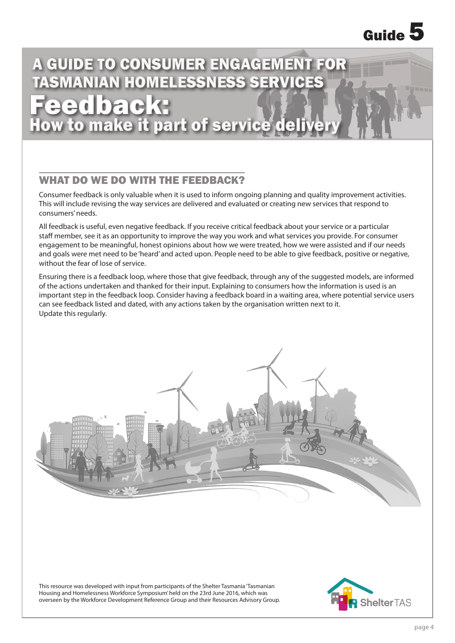# A GUIDE TO CONSUMER ENGAGEMENT FOR TASMANIAN HOMELESSNESS SERVICES

Feed back:<br>ow to make it part of service deliv

### WHAT DO WE DO WITH THE FEEDBACK?

Consumer feedback is only valuable when it is used to inform ongoing planning and quality improvement activities. This will include revising the way services are delivered and evaluated or creating new services that respond to consumers' needs.

All feedback is useful, even negative feedback. If you receive critical feedback about your service or a particular staff member, see it as an opportunity to improve the way you work and what services you provide. For consumer engagement to be meaningful, honest opinions about how we were treated, how we were assisted and if our needs and goals were met need to be 'heard' and acted upon. People need to be able to give feedback, positive or negative, without the fear of lose of service.

Ensuring there is a feedback loop, where those that give feedback, through any of the suggested models, are informed of the actions undertaken and thanked for their input. Explaining to consumers how the information is used is an important step in the feedback loop. Consider having a feedback board in a waiting area, where potential service users can see feedback listed and dated, with any actions taken by the organisation written next to it. Update this regularly.



This resource was developed with input from participants of the Shelter Tasmania 'Tasmanian Housing and Homelessness Workforce Symposium' held on the 23rd June 2016, which was overseen by the Workforce Development Reference Group and their Resources Advisory Group.

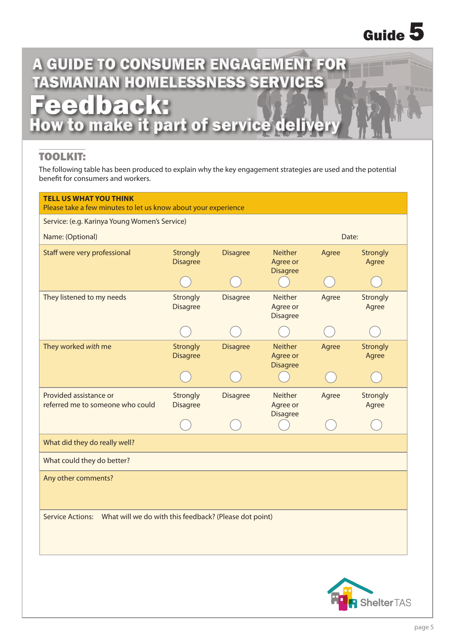## A GUIDE TO CONSUMER ENGAGEMENT FOR **ISMANIAN HOMELESSNESS SERVICES Feedback:**<br>ow to make it part of service delive

### TOOLKIT:

The following table has been produced to explain why the key engagement strategies are used and the potential benefit for consumers and workers.

| <b>TELL US WHAT YOU THINK</b><br>Please take a few minutes to let us know about your experience |                                    |                 |                                               |       |                   |
|-------------------------------------------------------------------------------------------------|------------------------------------|-----------------|-----------------------------------------------|-------|-------------------|
| Service: (e.g. Karinya Young Women's Service)                                                   |                                    |                 |                                               |       |                   |
| Name: (Optional)                                                                                |                                    |                 |                                               | Date: |                   |
| Staff were very professional                                                                    | <b>Strongly</b><br><b>Disagree</b> | <b>Disagree</b> | <b>Neither</b><br>Agree or<br><b>Disagree</b> | Agree | Strongly<br>Agree |
|                                                                                                 |                                    |                 |                                               |       |                   |
| They listened to my needs                                                                       | Strongly<br><b>Disagree</b>        | <b>Disagree</b> | Neither<br>Agree or<br><b>Disagree</b>        | Agree | Strongly<br>Agree |
|                                                                                                 |                                    |                 |                                               |       |                   |
| They worked with me                                                                             | <b>Strongly</b><br><b>Disagree</b> | <b>Disagree</b> | <b>Neither</b><br>Agree or<br><b>Disagree</b> | Agree | Strongly<br>Agree |
|                                                                                                 |                                    |                 |                                               |       |                   |
| Provided assistance or<br>referred me to someone who could                                      | Strongly<br><b>Disagree</b>        | <b>Disagree</b> | <b>Neither</b><br>Agree or<br><b>Disagree</b> | Agree | Strongly<br>Agree |
|                                                                                                 |                                    |                 |                                               |       |                   |
|                                                                                                 |                                    |                 |                                               |       |                   |
| What did they do really well?                                                                   |                                    |                 |                                               |       |                   |
| What could they do better?                                                                      |                                    |                 |                                               |       |                   |
| Any other comments?                                                                             |                                    |                 |                                               |       |                   |
| Service Actions: What will we do with this feedback? (Please dot point)                         |                                    |                 |                                               |       |                   |